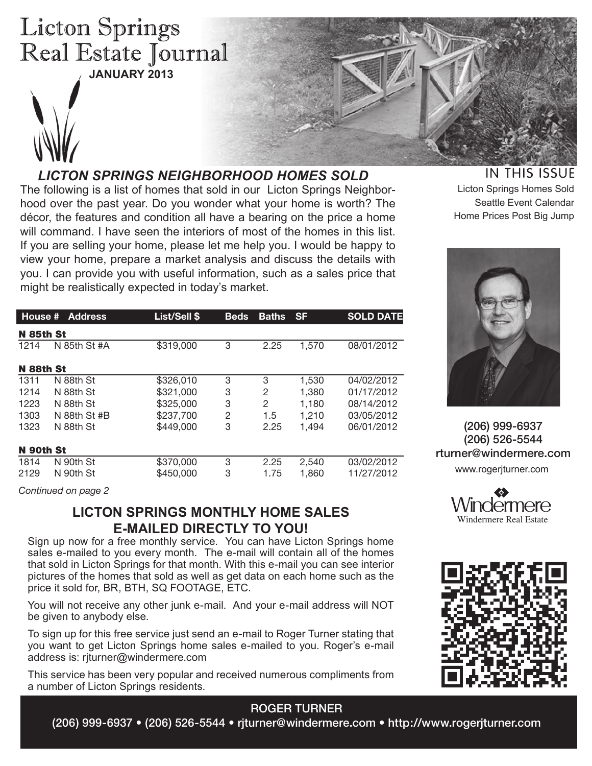# **Licton Springs** Real Estate Journal **JANUARY 2013**



# *LICTON SPRINGS NEIGHBORHOOD HOMES SOLD*

The following is a list of homes that sold in our Licton Springs Neighborhood over the past year. Do you wonder what your home is worth? The décor, the features and condition all have a bearing on the price a home will command. I have seen the interiors of most of the homes in this list. If you are selling your home, please let me help you. I would be happy to view your home, prepare a market analysis and discuss the details with you. I can provide you with useful information, such as a sales price that might be realistically expected in today's market.

| House #   | <b>Address</b>   | List/Sell \$ | <b>Beds</b> | <b>Baths</b>   | <b>SF</b> | <b>SOLD DATE</b> |  |  |  |  |  |
|-----------|------------------|--------------|-------------|----------------|-----------|------------------|--|--|--|--|--|
|           | <b>N</b> 85th St |              |             |                |           |                  |  |  |  |  |  |
| 1214      | N 85th St #A     | \$319,000    | 3           | 2.25           | 1.570     | 08/01/2012       |  |  |  |  |  |
| N 88th St |                  |              |             |                |           |                  |  |  |  |  |  |
| 1311      | N 88th St        | \$326,010    | 3           | 3              | 1,530     | 04/02/2012       |  |  |  |  |  |
| 1214      | N 88th St        | \$321,000    | 3           | 2              | 1,380     | 01/17/2012       |  |  |  |  |  |
| 1223      | N 88th St        | \$325,000    | 3           | $\overline{2}$ | 1,180     | 08/14/2012       |  |  |  |  |  |
| 1303      | N 88th St #B     | \$237,700    | 2           | 1.5            | 1.210     | 03/05/2012       |  |  |  |  |  |
| 1323      | N 88th St        | \$449,000    | 3           | 2.25           | 1.494     | 06/01/2012       |  |  |  |  |  |
| N 90th St |                  |              |             |                |           |                  |  |  |  |  |  |
| 1814      | N 90th St        | \$370,000    | 3           | 2.25           | 2,540     | 03/02/2012       |  |  |  |  |  |
| 2129      | N 90th St        | \$450,000    | 3           | 1.75           | 1,860     | 11/27/2012       |  |  |  |  |  |

*Continued on page 2*

# **LICTON SPRINGS MONTHLY HOME SALES E-MAILED DIRECTLY TO YOU!**

Sign up now for a free monthly service. You can have Licton Springs home sales e-mailed to you every month. The e-mail will contain all of the homes that sold in Licton Springs for that month. With this e-mail you can see interior pictures of the homes that sold as well as get data on each home such as the price it sold for, BR, BTH, SQ FOOTAGE, ETC.

You will not receive any other junk e-mail. And your e-mail address will NOT be given to anybody else.

To sign up for this free service just send an e-mail to Roger Turner stating that you want to get Licton Springs home sales e-mailed to you. Roger's e-mail address is: rjturner@windermere.com

This service has been very popular and received numerous compliments from a number of Licton Springs residents.

## ROGER TURNER

(206) 999-6937 • (206) 526-5544 • rjturner@windermere.com • http://www.rogerjturner.com

# **IN THIS ISSUE**

Licton Springs Homes Sold Seattle Event Calendar Home Prices Post Big Jump



(206) 999-6937 (206) 526-5544 rturner@windermere.com www.rogerjturner.com



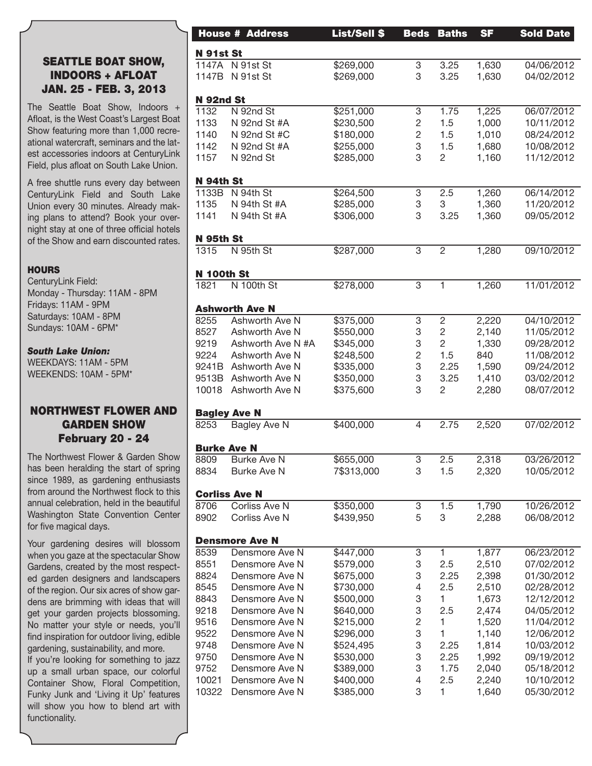### SEATTLE BOAT SHOW, INDOORS + AFLOAT JAN. 25 - FEB. 3, 2013

The Seattle Boat Show, Indoors + Afloat, is the West Coast's Largest Boat Show featuring more than 1,000 recreational watercraft, seminars and the latest accessories indoors at CenturyLink Field, plus afloat on South Lake Union.

A free shuttle runs every day between CenturyLink Field and South Lake Union every 30 minutes. Already making plans to attend? Book your overnight stay at one of three official hotels of the Show and earn discounted rates.

#### **HOURS**

CenturyLink Field: Monday - Thursday: 11AM - 8PM Fridays: 11AM - 9PM Saturdays: 10AM - 8PM Sundays: 10AM - 6PM\*

*South Lake Union:*  WEEKDAYS: 11AM - 5PM WEEKENDS: 10AM - 5PM\*

### NORTHWEST FLOWER AND GARDEN SHOW February 20 - 24

The Northwest Flower & Garden Show has been heralding the start of spring since 1989, as gardening enthusiasts from around the Northwest flock to this annual celebration, held in the beautiful Washington State Convention Center for five magical days.

Your gardening desires will blossom when you gaze at the spectacular Show Gardens, created by the most respected garden designers and landscapers of the region. Our six acres of show gardens are brimming with ideas that will get your garden projects blossoming. No matter your style or needs, you'll find inspiration for outdoor living, edible gardening, sustainability, and more.

If you're looking for something to jazz up a small urban space, our colorful Container Show, Floral Competition, Funky Junk and 'Living it Up' features will show you how to blend art with functionality.

|                    | <b>House # Address</b> | <b>List/Sell \$</b>   | <b>Beds</b>    | <b>Baths</b>   | <b>SF</b> | <b>Sold Date</b> |
|--------------------|------------------------|-----------------------|----------------|----------------|-----------|------------------|
| <b>N</b> 91st St   |                        |                       |                |                |           |                  |
|                    | 1147A N 91st St        | \$269,000             | 3              | 3.25           | 1,630     | 04/06/2012       |
|                    | 1147B N 91st St        | \$269,000             | 3              | 3.25           | 1,630     | 04/02/2012       |
|                    |                        |                       |                |                |           |                  |
| <b>N</b> 92nd St   |                        |                       |                |                |           |                  |
| 1132               | N 92nd St              | $\sqrt{$251,000}$     | 3              | 1.75           | 1,225     | 06/07/2012       |
| 1133               | N 92nd St #A           | \$230,500             | $\overline{c}$ | 1.5            | 1,000     | 10/11/2012       |
| 1140               | N 92nd St #C           | \$180,000             | $\overline{c}$ | 1.5            | 1,010     | 08/24/2012       |
| 1142               | N 92nd St #A           | \$255,000             | 3              | 1.5            | 1,680     | 10/08/2012       |
| 1157               | N 92nd St              | \$285,000             | 3              | $\mathbf{2}$   | 1,160     | 11/12/2012       |
|                    |                        |                       |                |                |           |                  |
| N 94th St<br>1133B | N 94th St              | \$264,500             | 3              | 2.5            | 1,260     | 06/14/2012       |
| 1135               | N 94th St #A           | \$285,000             | 3              | 3              | 1,360     | 11/20/2012       |
| 1141               | N 94th St #A           | \$306,000             | 3              | 3.25           | 1,360     | 09/05/2012       |
|                    |                        |                       |                |                |           |                  |
| N 95th St          |                        |                       |                |                |           |                  |
| 1315               | N 95th St              | \$287,000             | 3              | $\overline{2}$ | 1,280     | 09/10/2012       |
|                    |                        |                       |                |                |           |                  |
| <b>N 100th St</b>  |                        |                       |                |                |           |                  |
| 1821               | N 100th St             | \$278,000             | 3              | $\mathbf{1}$   | 1,260     | 11/01/2012       |
|                    | <b>Ashworth Ave N</b>  |                       |                |                |           |                  |
| 8255               | Ashworth Ave N         | $\overline{$375,000}$ | 3              | $\overline{c}$ | 2,220     | 04/10/2012       |
| 8527               | Ashworth Ave N         | \$550,000             | 3              | $\sqrt{2}$     | 2,140     | 11/05/2012       |
| 9219               | Ashworth Ave N #A      | \$345,000             | 3              | $\overline{c}$ | 1,330     | 09/28/2012       |
| 9224               | Ashworth Ave N         | \$248,500             | $\sqrt{2}$     | 1.5            | 840       | 11/08/2012       |
| 9241B              |                        |                       | 3              | 2.25           |           |                  |
|                    | Ashworth Ave N         | \$335,000             |                |                | 1,590     | 09/24/2012       |
| 9513B              | Ashworth Ave N         | \$350,000             | 3              | 3.25           | 1,410     | 03/02/2012       |
| 10018              | Ashworth Ave N         | \$375,600             | 3              | $\mathbf{2}$   | 2,280     | 08/07/2012       |
|                    | <b>Bagley Ave N</b>    |                       |                |                |           |                  |
| 8253               | Bagley Ave N           | \$400,000             | $\overline{4}$ | 2.75           | 2,520     | 07/02/2012       |
|                    |                        |                       |                |                |           |                  |
| <b>Burke Ave N</b> |                        |                       |                |                |           |                  |
| 8809               | <b>Burke Ave N</b>     | \$655,000             | 3              | 2.5            | 2,318     | 03/26/2012       |
| 8834               | <b>Burke Ave N</b>     | 7\$313,000            | 3              | 1.5            | 2,320     | 10/05/2012       |
|                    | <b>Corliss Ave N</b>   |                       |                |                |           |                  |
| 8706               | Corliss Ave N          | \$350,000             | 3              | 1.5            | 1,790     | 10/26/2012       |
| 8902               | Corliss Ave N          | \$439,950             | 5              | 3              | 2,288     | 06/08/2012       |
|                    |                        |                       |                |                |           |                  |
|                    | <b>Densmore Ave N</b>  |                       |                |                |           |                  |
| 8539               | Densmore Ave N         | \$447,000             | 3              | 1              | 1,877     | 06/23/2012       |
| 8551               | Densmore Ave N         | \$579,000             | 3              | 2.5            | 2,510     | 07/02/2012       |
| 8824               | Densmore Ave N         | \$675,000             | 3              | 2.25           | 2,398     | 01/30/2012       |
| 8545               | Densmore Ave N         | \$730,000             |                | 2.5            | 2,510     | 02/28/2012       |
| 8843               | Densmore Ave N         | \$500,000             | 3              | 1              | 1,673     | 12/12/2012       |
| 9218               | Densmore Ave N         | \$640,000             | 3              | 2.5            | 2,474     | 04/05/2012       |
| 9516               | Densmore Ave N         | \$215,000             | 2              |                | 1,520     | 11/04/2012       |
| 9522               | Densmore Ave N         | \$296,000             | 3              | 1              | 1,140     | 12/06/2012       |
| 9748               | Densmore Ave N         | \$524,495             | 3              | 2.25           | 1,814     | 10/03/2012       |
| 9750               | Densmore Ave N         | \$530,000             | 3              | 2.25           | 1,992     | 09/19/2012       |
| 9752               | Densmore Ave N         | \$389,000             | 3              | 1.75           | 2,040     | 05/18/2012       |
| 10021              | Densmore Ave N         |                       |                |                |           | 10/10/2012       |
| 10322              |                        | \$400,000             | 4<br>3         | 2.5<br>1       | 2,240     |                  |
|                    | Densmore Ave N         | \$385,000             |                |                | 1,640     | 05/30/2012       |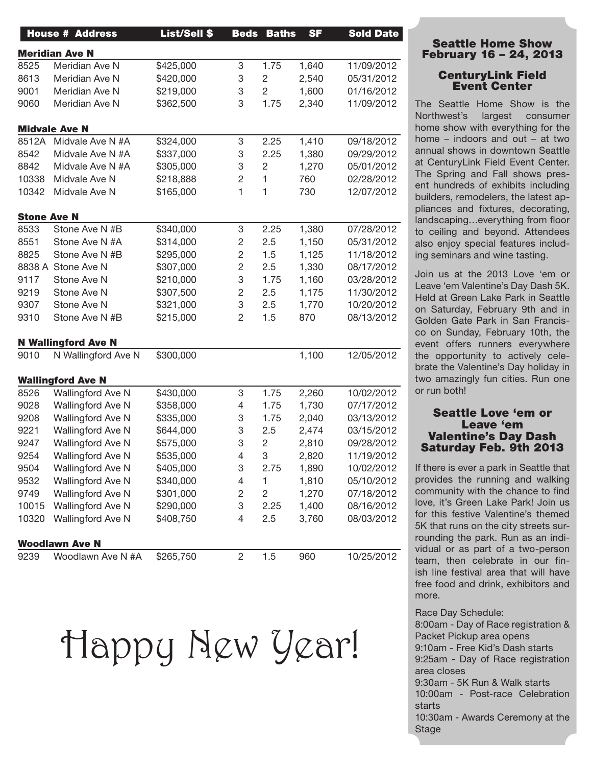|                    | <b>House # Address</b>                            | <b>List/Sell \$</b> |                | <b>Beds Baths</b> | <b>SF</b> | <b>Sold Date</b>                                                                                                                                       |
|--------------------|---------------------------------------------------|---------------------|----------------|-------------------|-----------|--------------------------------------------------------------------------------------------------------------------------------------------------------|
|                    | <b>Meridian Ave N</b>                             |                     |                |                   |           |                                                                                                                                                        |
| 8525               | Meridian Ave N                                    | \$425,000           | 3              | 1.75              | 1,640     | 11/09/2012                                                                                                                                             |
| 8613               | Meridian Ave N                                    | \$420,000           | 3              | $\overline{2}$    | 2,540     | 05/31/2012                                                                                                                                             |
| 9001               | Meridian Ave N                                    | \$219,000           | 3              | $\overline{2}$    | 1,600     | 01/16/2012                                                                                                                                             |
| 9060               | Meridian Ave N                                    | \$362,500           | 3              | 1.75              | 2,340     | 11/09/2012                                                                                                                                             |
|                    | <b>Midvale Ave N</b>                              |                     |                |                   |           |                                                                                                                                                        |
| 8512A              | Midvale Ave N #A                                  | \$324,000           | 3              | 2.25              | 1,410     | 09/18/2012                                                                                                                                             |
| 8542               | Midvale Ave N #A                                  | \$337,000           | 3              | 2.25              | 1,380     | 09/29/2012                                                                                                                                             |
| 8842               | Midvale Ave N #A                                  | \$305,000           | 3              | $\overline{2}$    | 1,270     | 05/01/2012                                                                                                                                             |
| 10338              | Midvale Ave N                                     | \$218,888           | $\mathbf 2$    | $\mathbf{1}$      | 760       | 02/28/2012                                                                                                                                             |
| 10342              | Midvale Ave N                                     | \$165,000           | 1              |                   | 730       | 12/07/2012                                                                                                                                             |
| <b>Stone Ave N</b> |                                                   |                     |                |                   |           |                                                                                                                                                        |
| 8533               | Stone Ave N #B                                    | \$340,000           | 3              | 2.25              | 1,380     | 07/28/2012                                                                                                                                             |
| 8551               | Stone Ave N #A                                    | \$314,000           | $\mathbf 2$    | 2.5               | 1,150     | 05/31/2012                                                                                                                                             |
| 8825               | Stone Ave N #B                                    | \$295,000           | $\overline{c}$ | 1.5               | 1,125     | 11/18/2012                                                                                                                                             |
|                    | 8838 A Stone Ave N                                | \$307,000           | $\sqrt{2}$     | 2.5               | 1,330     | 08/17/2012                                                                                                                                             |
| 9117               | Stone Ave N                                       | \$210,000           | 3              | 1.75              | 1,160     | 03/28/2012                                                                                                                                             |
| 9219               | Stone Ave N                                       | \$307,500           | $\sqrt{2}$     | 2.5               | 1,175     | 11/30/2012                                                                                                                                             |
| 9307               | Stone Ave N                                       | \$321,000           | 3              | 2.5               | 1,770     | 10/20/2012                                                                                                                                             |
| 9310               | Stone Ave N #B                                    | \$215,000           | $\overline{c}$ | 1.5               | 870       | 08/13/2012                                                                                                                                             |
|                    |                                                   |                     |                |                   |           |                                                                                                                                                        |
| 9010               | <b>N Wallingford Ave N</b><br>N Wallingford Ave N | \$300,000           |                |                   | 1,100     | 12/05/2012                                                                                                                                             |
|                    |                                                   |                     |                |                   |           |                                                                                                                                                        |
|                    | <b>Wallingford Ave N</b>                          |                     |                |                   |           |                                                                                                                                                        |
|                    |                                                   |                     |                |                   |           |                                                                                                                                                        |
| 8526               | Wallingford Ave N                                 | \$430,000           | 3              | 1.75              | 2,260     |                                                                                                                                                        |
| 9028               | Wallingford Ave N                                 | \$358,000           | 4              | 1.75              | 1,730     |                                                                                                                                                        |
| 9208               | Wallingford Ave N                                 | \$335,000           | 3              | 1.75              | 2,040     |                                                                                                                                                        |
| 9221               | Wallingford Ave N                                 | \$644,000           | 3              | 2.5               | 2,474     |                                                                                                                                                        |
| 9247               | Wallingford Ave N                                 | \$575,000           | 3              | $\overline{2}$    | 2,810     |                                                                                                                                                        |
| 9254               | Wallingford Ave N                                 | \$535,000           | $\overline{4}$ |                   | 2,820     |                                                                                                                                                        |
| 9504               | Wallingford Ave N                                 | \$405,000           | 3              | 2.75              | 1,890     |                                                                                                                                                        |
| 9532               | Wallingford Ave N                                 | \$340,000           | 4              |                   | 1,810     |                                                                                                                                                        |
| 9749               | Wallingford Ave N                                 | \$301,000           | 2              | $\overline{2}$    | 1,270     |                                                                                                                                                        |
| 10015              | Wallingford Ave N                                 | \$290,000           | 3              | 2.25              | 1,400     |                                                                                                                                                        |
| 10320              | Wallingford Ave N                                 | \$408,750           | $\overline{4}$ | 2.5               | 3,760     |                                                                                                                                                        |
|                    | <b>Woodlawn Ave N</b>                             |                     |                |                   |           | 10/02/2012<br>07/17/2012<br>03/13/2012<br>03/15/2012<br>09/28/2012<br>11/19/2012<br>10/02/2012<br>05/10/2012<br>07/18/2012<br>08/16/2012<br>08/03/2012 |

Happy New Year!

#### Seattle Home Show February 16 – 24, 2013

#### CenturyLink Field Event Center

The Seattle Home Show is the Northwest's largest consumer home show with everything for the home – indoors and out – at two annual shows in downtown Seattle at CenturyLink Field Event Center. The Spring and Fall shows present hundreds of exhibits including builders, remodelers, the latest appliances and fixtures, decorating, landscaping…everything from floor to ceiling and beyond. Attendees also enjoy special features including seminars and wine tasting.

Join us at the 2013 Love 'em or Leave 'em Valentine's Day Dash 5K. Held at Green Lake Park in Seattle on Saturday, February 9th and in Golden Gate Park in San Francisco on Sunday, February 10th, the event offers runners everywhere the opportunity to actively celebrate the Valentine's Day holiday in two amazingly fun cities. Run one or run both!

#### Seattle Love 'em or Leave 'em Valentine's Day Dash Saturday Feb. 9th 2013

If there is ever a park in Seattle that provides the running and walking community with the chance to find love, it's Green Lake Park! Join us for this festive Valentine's themed 5K that runs on the city streets surrounding the park. Run as an individual or as part of a two-person team, then celebrate in our finish line festival area that will have free food and drink, exhibitors and more.

Race Day Schedule:

8:00am - Day of Race registration & Packet Pickup area opens 9:10am - Free Kid's Dash starts 9:25am - Day of Race registration area closes 9:30am - 5K Run & Walk starts 10:00am - Post-race Celebration

starts

10:30am - Awards Ceremony at the Stage